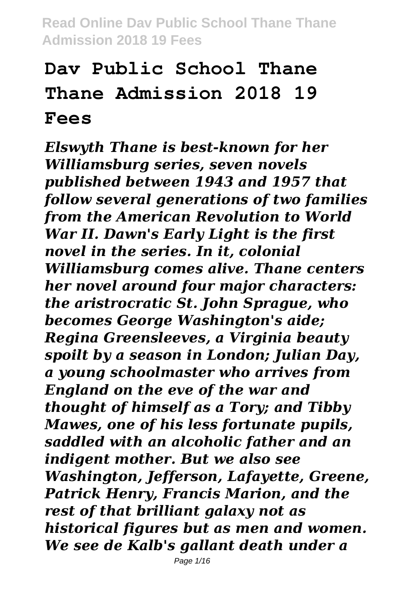# **Dav Public School Thane Thane Admission 2018 19 Fees**

*Elswyth Thane is best-known for her Williamsburg series, seven novels published between 1943 and 1957 that follow several generations of two families from the American Revolution to World War II. Dawn's Early Light is the first novel in the series. In it, colonial Williamsburg comes alive. Thane centers her novel around four major characters: the aristrocratic St. John Sprague, who becomes George Washington's aide; Regina Greensleeves, a Virginia beauty spoilt by a season in London; Julian Day, a young schoolmaster who arrives from England on the eve of the war and thought of himself as a Tory; and Tibby Mawes, one of his less fortunate pupils, saddled with an alcoholic father and an indigent mother. But we also see Washington, Jefferson, Lafayette, Greene, Patrick Henry, Francis Marion, and the rest of that brilliant galaxy not as historical figures but as men and women. We see de Kalb's gallant death under a*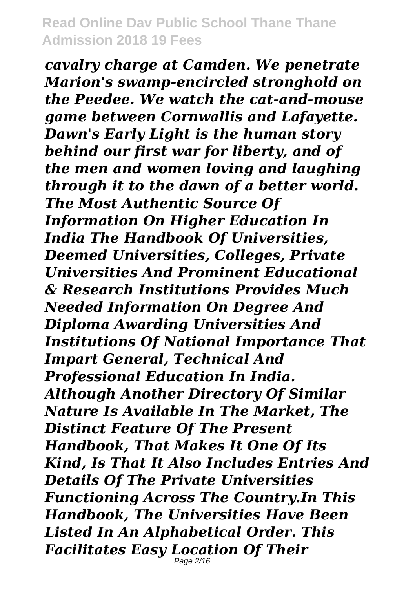*cavalry charge at Camden. We penetrate Marion's swamp-encircled stronghold on the Peedee. We watch the cat-and-mouse game between Cornwallis and Lafayette. Dawn's Early Light is the human story behind our first war for liberty, and of the men and women loving and laughing through it to the dawn of a better world. The Most Authentic Source Of Information On Higher Education In India The Handbook Of Universities, Deemed Universities, Colleges, Private Universities And Prominent Educational & Research Institutions Provides Much Needed Information On Degree And Diploma Awarding Universities And Institutions Of National Importance That Impart General, Technical And Professional Education In India. Although Another Directory Of Similar Nature Is Available In The Market, The Distinct Feature Of The Present Handbook, That Makes It One Of Its Kind, Is That It Also Includes Entries And Details Of The Private Universities Functioning Across The Country.In This Handbook, The Universities Have Been Listed In An Alphabetical Order. This Facilitates Easy Location Of Their* Page 2/16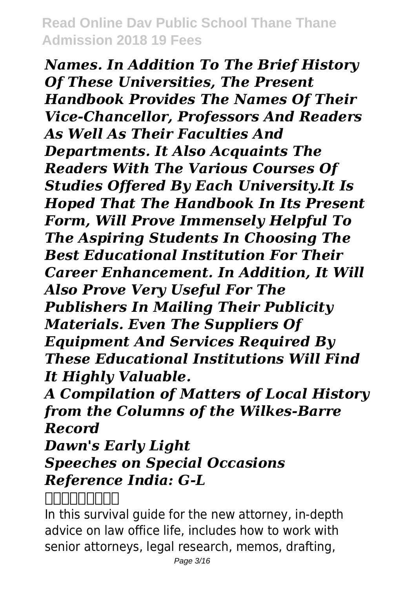*Names. In Addition To The Brief History Of These Universities, The Present Handbook Provides The Names Of Their Vice-Chancellor, Professors And Readers As Well As Their Faculties And Departments. It Also Acquaints The Readers With The Various Courses Of Studies Offered By Each University.It Is Hoped That The Handbook In Its Present Form, Will Prove Immensely Helpful To The Aspiring Students In Choosing The Best Educational Institution For Their Career Enhancement. In Addition, It Will Also Prove Very Useful For The Publishers In Mailing Their Publicity Materials. Even The Suppliers Of Equipment And Services Required By These Educational Institutions Will Find It Highly Valuable.*

*A Compilation of Matters of Local History from the Columns of the Wilkes-Barre Record*

*Dawn's Early Light*

# *Speeches on Special Occasions Reference India: G-L*

# *不堪回首伊斯坦布尔*

In this survival guide for the new attorney, in-depth advice on law office life, includes how to work with senior attorneys, legal research, memos, drafting,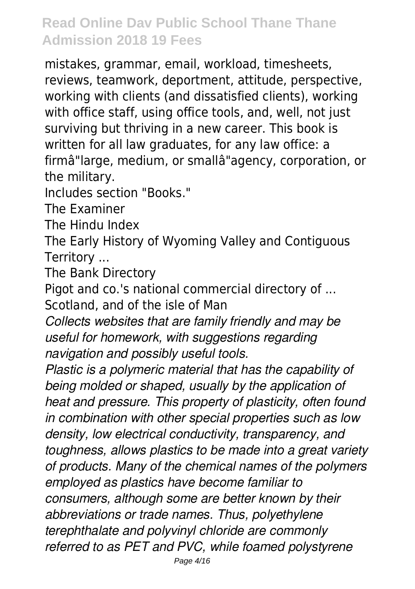mistakes, grammar, email, workload, timesheets, reviews, teamwork, deportment, attitude, perspective, working with clients (and dissatisfied clients), working with office staff, using office tools, and, well, not just surviving but thriving in a new career. This book is written for all law graduates, for any law office: a firmâ"large, medium, or smallâ"agency, corporation, or the military.

Includes section "Books."

The Examiner

The Hindu Index

The Early History of Wyoming Valley and Contiguous Territory ...

The Bank Directory

Pigot and co.'s national commercial directory of ...

Scotland, and of the isle of Man

*Collects websites that are family friendly and may be useful for homework, with suggestions regarding navigation and possibly useful tools.*

*Plastic is a polymeric material that has the capability of being molded or shaped, usually by the application of heat and pressure. This property of plasticity, often found in combination with other special properties such as low density, low electrical conductivity, transparency, and toughness, allows plastics to be made into a great variety of products. Many of the chemical names of the polymers employed as plastics have become familiar to consumers, although some are better known by their abbreviations or trade names. Thus, polyethylene terephthalate and polyvinyl chloride are commonly referred to as PET and PVC, while foamed polystyrene*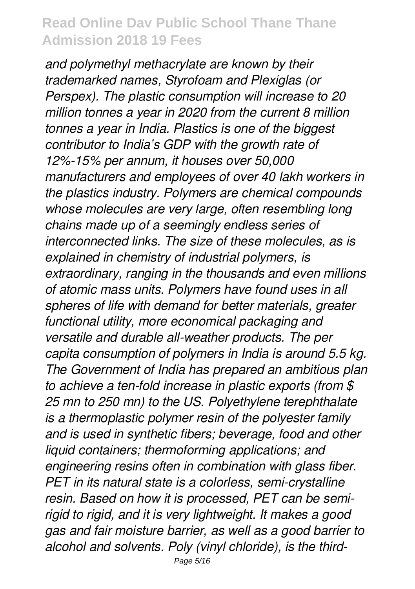*and polymethyl methacrylate are known by their trademarked names, Styrofoam and Plexiglas (or Perspex). The plastic consumption will increase to 20 million tonnes a year in 2020 from the current 8 million tonnes a year in India. Plastics is one of the biggest contributor to India's GDP with the growth rate of 12%-15% per annum, it houses over 50,000 manufacturers and employees of over 40 lakh workers in the plastics industry. Polymers are chemical compounds whose molecules are very large, often resembling long chains made up of a seemingly endless series of interconnected links. The size of these molecules, as is explained in chemistry of industrial polymers, is extraordinary, ranging in the thousands and even millions of atomic mass units. Polymers have found uses in all spheres of life with demand for better materials, greater functional utility, more economical packaging and versatile and durable all-weather products. The per capita consumption of polymers in India is around 5.5 kg. The Government of India has prepared an ambitious plan to achieve a ten-fold increase in plastic exports (from \$ 25 mn to 250 mn) to the US. Polyethylene terephthalate is a thermoplastic polymer resin of the polyester family and is used in synthetic fibers; beverage, food and other liquid containers; thermoforming applications; and engineering resins often in combination with glass fiber. PET in its natural state is a colorless, semi-crystalline resin. Based on how it is processed, PET can be semirigid to rigid, and it is very lightweight. It makes a good gas and fair moisture barrier, as well as a good barrier to alcohol and solvents. Poly (vinyl chloride), is the third-*Page 5/16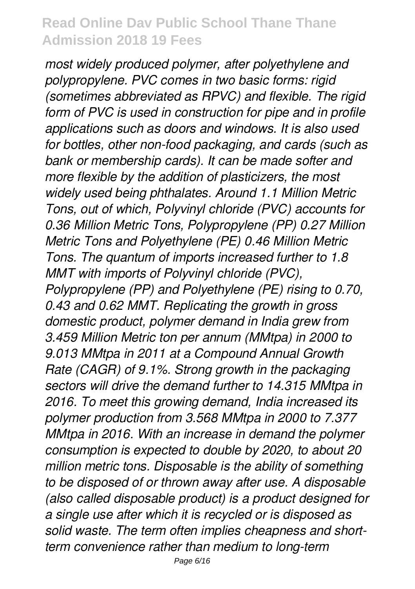*most widely produced polymer, after polyethylene and polypropylene. PVC comes in two basic forms: rigid (sometimes abbreviated as RPVC) and flexible. The rigid form of PVC is used in construction for pipe and in profile applications such as doors and windows. It is also used for bottles, other non-food packaging, and cards (such as bank or membership cards). It can be made softer and more flexible by the addition of plasticizers, the most widely used being phthalates. Around 1.1 Million Metric Tons, out of which, Polyvinyl chloride (PVC) accounts for 0.36 Million Metric Tons, Polypropylene (PP) 0.27 Million Metric Tons and Polyethylene (PE) 0.46 Million Metric Tons. The quantum of imports increased further to 1.8 MMT with imports of Polyvinyl chloride (PVC), Polypropylene (PP) and Polyethylene (PE) rising to 0.70, 0.43 and 0.62 MMT. Replicating the growth in gross domestic product, polymer demand in India grew from 3.459 Million Metric ton per annum (MMtpa) in 2000 to 9.013 MMtpa in 2011 at a Compound Annual Growth Rate (CAGR) of 9.1%. Strong growth in the packaging sectors will drive the demand further to 14.315 MMtpa in 2016. To meet this growing demand, India increased its polymer production from 3.568 MMtpa in 2000 to 7.377 MMtpa in 2016. With an increase in demand the polymer consumption is expected to double by 2020, to about 20 million metric tons. Disposable is the ability of something to be disposed of or thrown away after use. A disposable (also called disposable product) is a product designed for a single use after which it is recycled or is disposed as solid waste. The term often implies cheapness and shortterm convenience rather than medium to long-term*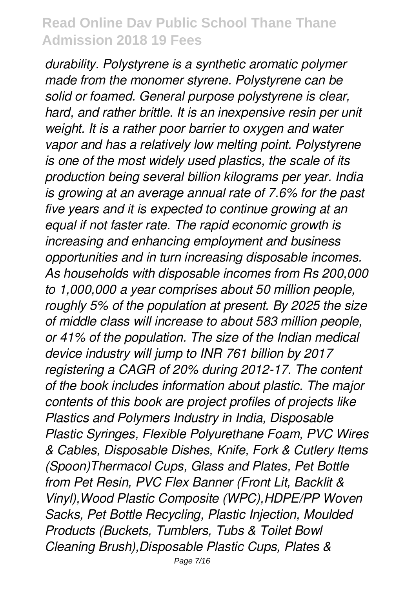*durability. Polystyrene is a synthetic aromatic polymer made from the monomer styrene. Polystyrene can be solid or foamed. General purpose polystyrene is clear, hard, and rather brittle. It is an inexpensive resin per unit weight. It is a rather poor barrier to oxygen and water vapor and has a relatively low melting point. Polystyrene is one of the most widely used plastics, the scale of its production being several billion kilograms per year. India is growing at an average annual rate of 7.6% for the past five years and it is expected to continue growing at an equal if not faster rate. The rapid economic growth is increasing and enhancing employment and business opportunities and in turn increasing disposable incomes. As households with disposable incomes from Rs 200,000 to 1,000,000 a year comprises about 50 million people, roughly 5% of the population at present. By 2025 the size of middle class will increase to about 583 million people, or 41% of the population. The size of the Indian medical device industry will jump to INR 761 billion by 2017 registering a CAGR of 20% during 2012-17. The content of the book includes information about plastic. The major contents of this book are project profiles of projects like Plastics and Polymers Industry in India, Disposable Plastic Syringes, Flexible Polyurethane Foam, PVC Wires & Cables, Disposable Dishes, Knife, Fork & Cutlery Items (Spoon)Thermacol Cups, Glass and Plates, Pet Bottle from Pet Resin, PVC Flex Banner (Front Lit, Backlit & Vinyl),Wood Plastic Composite (WPC),HDPE/PP Woven Sacks, Pet Bottle Recycling, Plastic Injection, Moulded Products (Buckets, Tumblers, Tubs & Toilet Bowl Cleaning Brush),Disposable Plastic Cups, Plates &*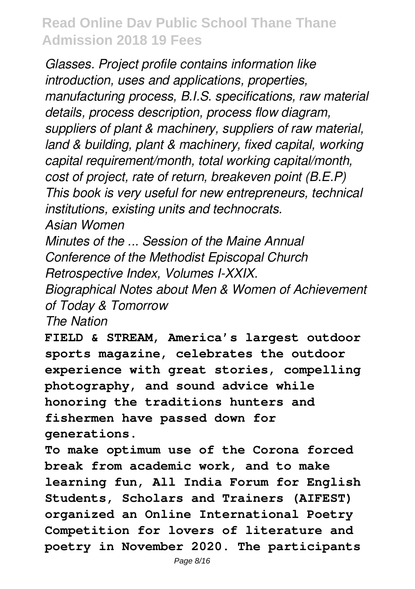*Glasses. Project profile contains information like introduction, uses and applications, properties, manufacturing process, B.I.S. specifications, raw material details, process description, process flow diagram, suppliers of plant & machinery, suppliers of raw material, land & building, plant & machinery, fixed capital, working capital requirement/month, total working capital/month, cost of project, rate of return, breakeven point (B.E.P) This book is very useful for new entrepreneurs, technical institutions, existing units and technocrats. Asian Women*

*Minutes of the ... Session of the Maine Annual Conference of the Methodist Episcopal Church Retrospective Index, Volumes I-XXIX.*

*Biographical Notes about Men & Women of Achievement of Today & Tomorrow*

*The Nation*

**FIELD & STREAM, America's largest outdoor sports magazine, celebrates the outdoor experience with great stories, compelling photography, and sound advice while honoring the traditions hunters and fishermen have passed down for generations.**

**To make optimum use of the Corona forced break from academic work, and to make learning fun, All India Forum for English Students, Scholars and Trainers (AIFEST) organized an Online International Poetry Competition for lovers of literature and poetry in November 2020. The participants**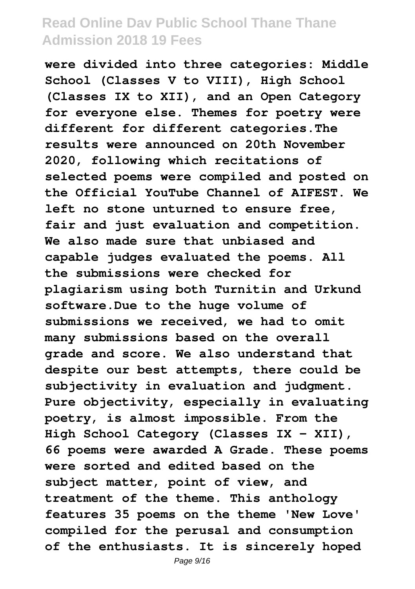**were divided into three categories: Middle School (Classes V to VIII), High School (Classes IX to XII), and an Open Category for everyone else. Themes for poetry were different for different categories.The results were announced on 20th November 2020, following which recitations of selected poems were compiled and posted on the Official YouTube Channel of AIFEST. We left no stone unturned to ensure free, fair and just evaluation and competition. We also made sure that unbiased and capable judges evaluated the poems. All the submissions were checked for plagiarism using both Turnitin and Urkund software.Due to the huge volume of submissions we received, we had to omit many submissions based on the overall grade and score. We also understand that despite our best attempts, there could be subjectivity in evaluation and judgment. Pure objectivity, especially in evaluating poetry, is almost impossible. From the High School Category (Classes IX - XII), 66 poems were awarded A Grade. These poems were sorted and edited based on the subject matter, point of view, and treatment of the theme. This anthology features 35 poems on the theme 'New Love' compiled for the perusal and consumption of the enthusiasts. It is sincerely hoped**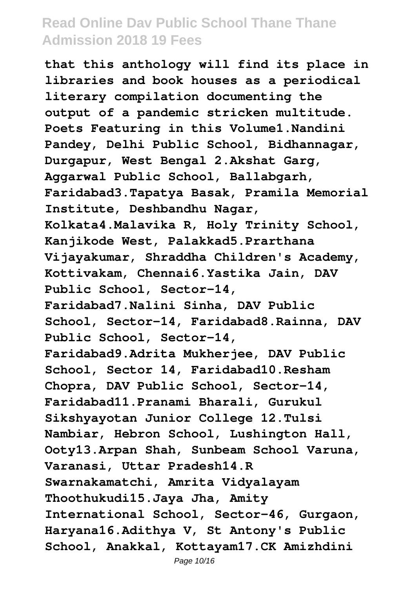**that this anthology will find its place in libraries and book houses as a periodical literary compilation documenting the output of a pandemic stricken multitude. Poets Featuring in this Volume1.Nandini Pandey, Delhi Public School, Bidhannagar, Durgapur, West Bengal 2.Akshat Garg, Aggarwal Public School, Ballabgarh, Faridabad3.Tapatya Basak, Pramila Memorial Institute, Deshbandhu Nagar, Kolkata4.Malavika R, Holy Trinity School, Kanjikode West, Palakkad5.Prarthana Vijayakumar, Shraddha Children's Academy, Kottivakam, Chennai6.Yastika Jain, DAV Public School, Sector-14, Faridabad7.Nalini Sinha, DAV Public School, Sector-14, Faridabad8.Rainna, DAV Public School, Sector-14, Faridabad9.Adrita Mukherjee, DAV Public School, Sector 14, Faridabad10.Resham Chopra, DAV Public School, Sector-14, Faridabad11.Pranami Bharali, Gurukul Sikshyayotan Junior College 12.Tulsi Nambiar, Hebron School, Lushington Hall, Ooty13.Arpan Shah, Sunbeam School Varuna, Varanasi, Uttar Pradesh14.R Swarnakamatchi, Amrita Vidyalayam Thoothukudi15.Jaya Jha, Amity International School, Sector-46, Gurgaon, Haryana16.Adithya V, St Antony's Public School, Anakkal, Kottayam17.CK Amizhdini**

Page 10/16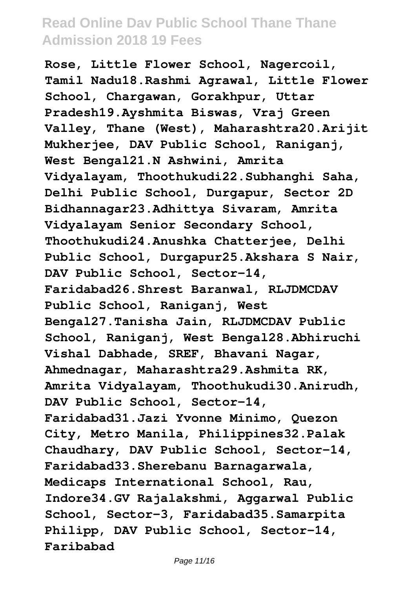**Rose, Little Flower School, Nagercoil, Tamil Nadu18.Rashmi Agrawal, Little Flower School, Chargawan, Gorakhpur, Uttar Pradesh19.Ayshmita Biswas, Vraj Green Valley, Thane (West), Maharashtra20.Arijit Mukherjee, DAV Public School, Raniganj, West Bengal21.N Ashwini, Amrita Vidyalayam, Thoothukudi22.Subhanghi Saha, Delhi Public School, Durgapur, Sector 2D Bidhannagar23.Adhittya Sivaram, Amrita Vidyalayam Senior Secondary School, Thoothukudi24.Anushka Chatterjee, Delhi Public School, Durgapur25.Akshara S Nair, DAV Public School, Sector-14, Faridabad26.Shrest Baranwal, RLJDMCDAV Public School, Raniganj, West Bengal27.Tanisha Jain, RLJDMCDAV Public School, Raniganj, West Bengal28.Abhiruchi Vishal Dabhade, SREF, Bhavani Nagar, Ahmednagar, Maharashtra29.Ashmita RK, Amrita Vidyalayam, Thoothukudi30.Anirudh, DAV Public School, Sector-14, Faridabad31.Jazi Yvonne Minimo, Quezon City, Metro Manila, Philippines32.Palak Chaudhary, DAV Public School, Sector-14, Faridabad33.Sherebanu Barnagarwala, Medicaps International School, Rau, Indore34.GV Rajalakshmi, Aggarwal Public School, Sector-3, Faridabad35.Samarpita Philipp, DAV Public School, Sector-14, Faribabad**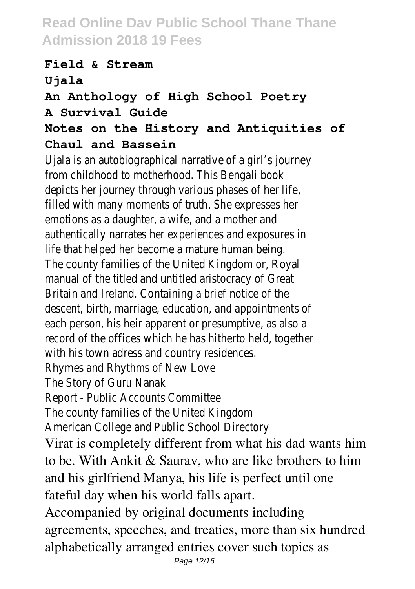#### **Field & Stream Ujala An Anthology of High School Poetry A Survival Guide Notes on the History and Antiquities of Chaul and Bassein**

Ujala is an autobiographical narrative of a girl's journey from childhood to motherhood. This Bengali book depicts her journey through various phases of her life, filled with many moments of truth. She expresses her emotions as a daughter, a wife, and a mother and authentically narrates her experiences and exposures in life that helped her become a mature human being. The county families of the United Kingdom or, Royal manual of the titled and untitled aristocracy of Great Britain and Ireland. Containing a brief notice of the descent, birth, marriage, education, and appointments of each person, his heir apparent or presumptive, as also a record of the offices which he has hitherto held, together with his town adress and country residences. Rhymes and Rhythms of New Love The Story of Guru Nanak Report - Public Accounts Committee The county families of the United Kingdom American College and Public School Directory Virat is completely different from what his dad wants him to be. With Ankit & Saurav, who are like brothers to him and his girlfriend Manya, his life is perfect until one fateful day when his world falls apart. Accompanied by original documents including agreements, speeches, and treaties, more than six hundred alphabetically arranged entries cover such topics as

Page 12/16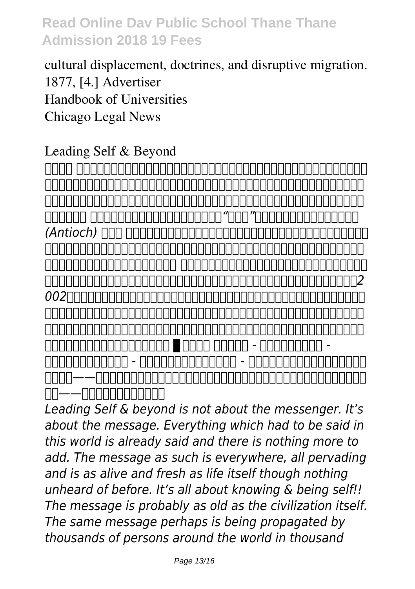# cultural displacement, doctrines, and disruptive migration. 1877, [4.] Advertiser Handbook of Universities Chicago Legal News

#### Leading Self & Beyond

*作者的话 虽然我是个喜欢旅游的人,但我一向没有想到去伊斯坦布尔,也不很想去土耳其观光,因为对一 个基督徒来说,伊斯坦布尔正见证了基督教在小亚细亚的衰微。这个原称为君士坦丁堡的城市,有整千年 的时间,是疆土横跨欧亚非三大洲的基督教拜占庭王朝(东罗马帝国)的国都,而土耳其则是新约时期基 督教的中心。 外邦人信基督教,就是从土耳其开始,甚至"基督徒"这个称呼,也是从土耳其的安提阿 (Antioch) ,使徒约翰在晚年时都在土耳其西南部牧养教会。但是今天,基督教会几乎已从这块土地上消失,现代的 土耳其百分之九十九点八的人口是回教徒。 我常想,到伊斯坦布尔和土耳其观光,遍目所见都是回教取代 基督教会的现实,会引起太多的伤感。如果不是被所服务的马来亚大学派遣去出席在伊斯坦布尔举办的2 002年第二十八届欧洲生物化学学会联合大会,我可能不会踏入土耳其的国境呢!但是我感谢神这个安 排,因为经过这次的伊斯坦布尔和土耳其之旅,神给我一个负担要去了解中东基督教会衰微的来龙去脉, 这本小书,就是我就这课题所做的一些研读的成果。我的祷告是:愿这本小书所描述的事件能作为教会的 警惕,也愿这本书能成为众教会的祝福。 ▊作者简介 陈业宏博士 - 台湾大学化学系学士 - 美国芝加哥大学化学系博士 - 现任马来亚大学分子医学系教授 - 着有《耶路撒冷的呼唤》《不堪回首伊 斯坦布尔——中东基督教会的衰微》《凡有耳的,就应当听:启示录七教会与拔摩岛所见所思》《千年 脚踪——保罗在希腊与罗马》等书。*

*Leading Self & beyond is not about the messenger. It's about the message. Everything which had to be said in this world is already said and there is nothing more to add. The message as such is everywhere, all pervading and is as alive and fresh as life itself though nothing unheard of before. It's all about knowing & being self!! The message is probably as old as the civilization itself. The same message perhaps is being propagated by thousands of persons around the world in thousand*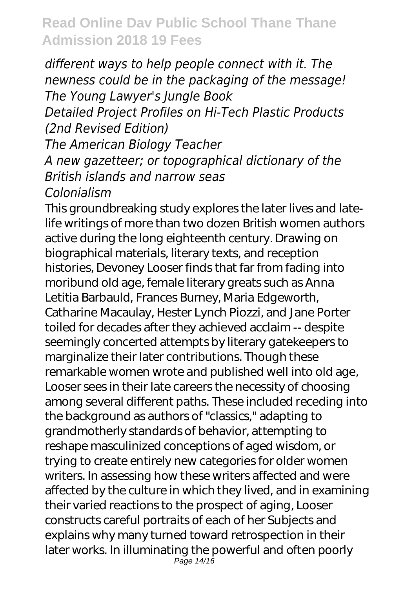*different ways to help people connect with it. The newness could be in the packaging of the message! The Young Lawyer's Jungle Book Detailed Project Profiles on Hi-Tech Plastic Products (2nd Revised Edition)*

*The American Biology Teacher*

*A new gazetteer; or topographical dictionary of the British islands and narrow seas*

*Colonialism*

This groundbreaking study explores the later lives and latelife writings of more than two dozen British women authors active during the long eighteenth century. Drawing on biographical materials, literary texts, and reception histories, Devoney Looser finds that far from fading into moribund old age, female literary greats such as Anna Letitia Barbauld, Frances Burney, Maria Edgeworth, Catharine Macaulay, Hester Lynch Piozzi, and Jane Porter toiled for decades after they achieved acclaim -- despite seemingly concerted attempts by literary gatekeepers to marginalize their later contributions. Though these remarkable women wrote and published well into old age, Looser sees in their late careers the necessity of choosing among several different paths. These included receding into the background as authors of "classics," adapting to grandmotherly standards of behavior, attempting to reshape masculinized conceptions of aged wisdom, or trying to create entirely new categories for older women writers. In assessing how these writers affected and were affected by the culture in which they lived, and in examining their varied reactions to the prospect of aging, Looser constructs careful portraits of each of her Subjects and explains why many turned toward retrospection in their later works. In illuminating the powerful and often poorly Page 14/16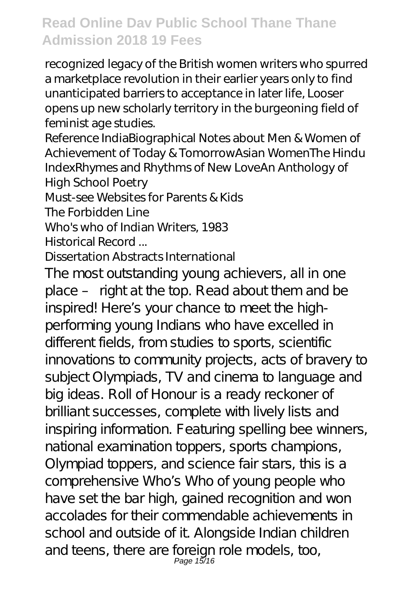recognized legacy of the British women writers who spurred a marketplace revolution in their earlier years only to find unanticipated barriers to acceptance in later life, Looser opens up new scholarly territory in the burgeoning field of feminist age studies.

Reference IndiaBiographical Notes about Men & Women of Achievement of Today & TomorrowAsian WomenThe Hindu IndexRhymes and Rhythms of New LoveAn Anthology of High School Poetry

Must-see Websites for Parents & Kids

The Forbidden Line

Who's who of Indian Writers, 1983

Historical Record ...

#### Dissertation Abstracts International

The most outstanding young achievers, all in one place – right at the top. Read about them and be inspired! Here's your chance to meet the highperforming young Indians who have excelled in different fields, from studies to sports, scientific innovations to community projects, acts of bravery to subject Olympiads, TV and cinema to language and big ideas. Roll of Honour is a ready reckoner of brilliant successes, complete with lively lists and inspiring information. Featuring spelling bee winners, national examination toppers, sports champions, Olympiad toppers, and science fair stars, this is a comprehensive Who's Who of young people who have set the bar high, gained recognition and won accolades for their commendable achievements in school and outside of it. Alongside Indian children and teens, there are foreign role models, too,<br>Page 15/16